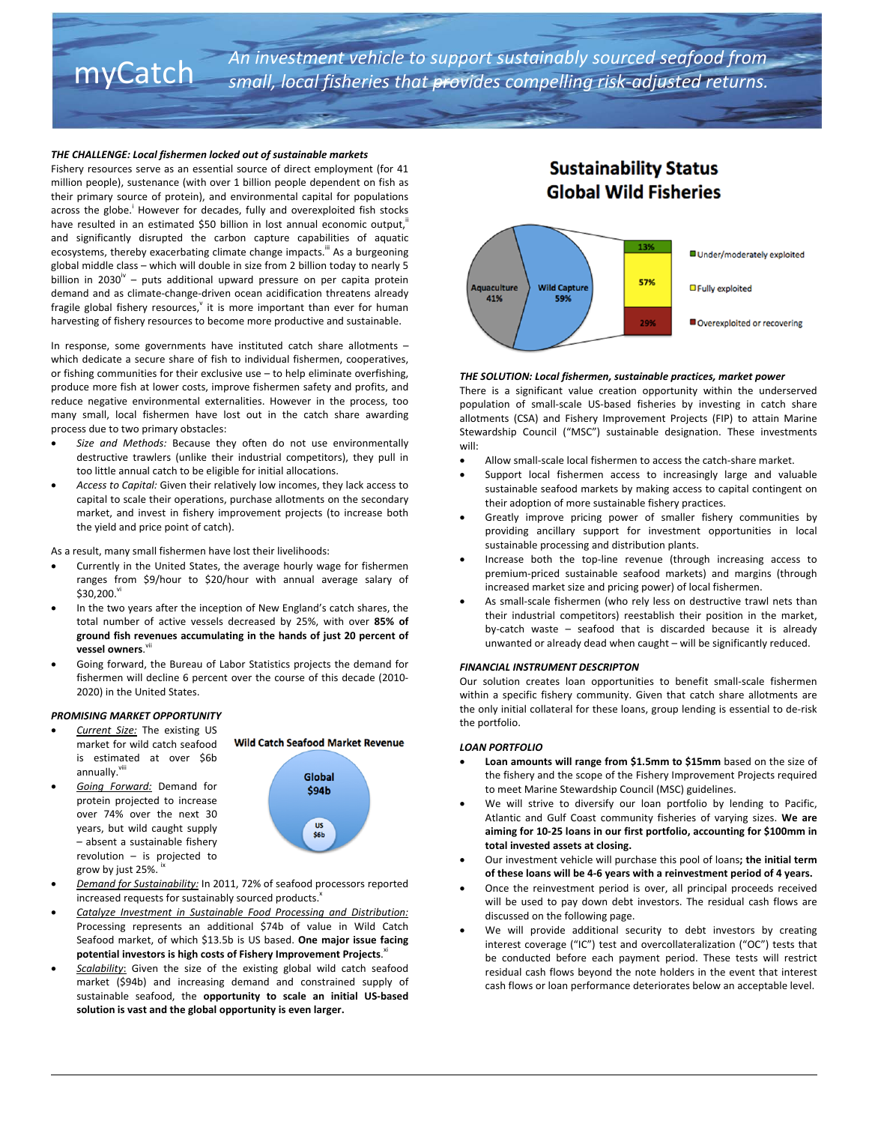# An investment vehicle to support sustainably sourced seafood from<br>myCatch small, local fisheries that provides compelling risk-adjusted returns.

#### *THE CHALLENGE: Local fishermen locked out of sustainable markets*

Fishery resources serve as an essential source of direct employment (for 41 million people), sustenance (with over 1 billion people dependent on fish as their primary source of protein), and environmental capital for populations across the globe.<sup>i</sup> However for decades, fully and overexploited fish stocks have resulted in an estimated \$50 billion in lost annual economic output, and significantly disrupted the carbon capture capabilities of aquatic ecosystems, thereby exacerbating climate change impacts.<sup>III</sup> As a burgeoning global middle class – which will double in size from 2 billion today to nearly 5 billion in 2030 $^{\prime\prime}$  – puts additional upward pressure on per capita protein demand and as climate‐change‐driven ocean acidification threatens already fragile global fishery resources, $\theta$  it is more important than ever for human harvesting of fishery resources to become more productive and sustainable.

In response, some governments have instituted catch share allotments – which dedicate a secure share of fish to individual fishermen, cooperatives, or fishing communities for their exclusive use – to help eliminate overfishing, produce more fish at lower costs, improve fishermen safety and profits, and reduce negative environmental externalities. However in the process, too many small, local fishermen have lost out in the catch share awarding process due to two primary obstacles:

- *Size and Methods:* Because they often do not use environmentally destructive trawlers (unlike their industrial competitors), they pull in too little annual catch to be eligible for initial allocations.
- *Access to Capital:* Given their relatively low incomes, they lack access to capital to scale their operations, purchase allotments on the secondary market, and invest in fishery improvement projects (to increase both the yield and price point of catch).

As a result, many small fishermen have lost their livelihoods:

- Currently in the United States, the average hourly wage for fishermen ranges from \$9/hour to \$20/hour with annual average salary of \$30,200.vi
- In the two years after the inception of New England's catch shares, the total number of active vessels decreased by 25%, with over **85% of ground fish revenues accumulating in the hands of just 20 percent of** vessel owners.<sup>vii</sup>
- Going forward, the Bureau of Labor Statistics projects the demand for fishermen will decline 6 percent over the course of this decade (2010‐ 2020) in the United States.

#### *PROMISING MARKET OPPORTUNITY*

- *Current Size:* The existing US market for wild catch seafood is estimated at over \$6b annually.
- *Going Forward:* Demand for protein projected to increase over 74% over the next 30 years, but wild caught supply – absent a sustainable fishery revolution – is projected to grow by just 25%.



- *Demand for Sustainability:* In 2011, 72% of seafood processors reported increased requests for sustainably sourced products.<sup>x</sup>
- *Catalyze Investment in Sustainable Food Processing and Distribution:*  Processing represents an additional \$74b of value in Wild Catch Seafood market, of which \$13.5b is US based. **One major issue facing potential investors is high costs of Fishery Improvement Projects**. xi
- *Scalability*: Given the size of the existing global wild catch seafood market (\$94b) and increasing demand and constrained supply of sustainable seafood, the **opportunity to scale an initial US‐based solution is vast and the global opportunity is even larger.**

### **Sustainability Status Global Wild Fisheries**



#### *THE SOLUTION: Local fishermen, sustainable practices, market power*

There is a significant value creation opportunity within the underserved population of small-scale US-based fisheries by investing in catch share allotments (CSA) and Fishery Improvement Projects (FIP) to attain Marine Stewardship Council ("MSC") sustainable designation. These investments will:

- Allow small‐scale local fishermen to access the catch‐share market.
- Support local fishermen access to increasingly large and valuable sustainable seafood markets by making access to capital contingent on their adoption of more sustainable fishery practices.
- Greatly improve pricing power of smaller fishery communities by providing ancillary support for investment opportunities in local sustainable processing and distribution plants.
- Increase both the top‐line revenue (through increasing access to premium‐priced sustainable seafood markets) and margins (through increased market size and pricing power) of local fishermen.
- As small‐scale fishermen (who rely less on destructive trawl nets than their industrial competitors) reestablish their position in the market, by‐catch waste – seafood that is discarded because it is already unwanted or already dead when caught – will be significantly reduced.

#### *FINANCIAL INSTRUMENT DESCRIPTON*

Our solution creates loan opportunities to benefit small‐scale fishermen within a specific fishery community. Given that catch share allotments are the only initial collateral for these loans, group lending is essential to de‐risk the portfolio.

#### *LOAN PORTFOLIO*

- **Loan amounts will range from \$1.5mm to \$15mm** based on the size of the fishery and the scope of the Fishery Improvement Projects required to meet Marine Stewardship Council (MSC) guidelines.
- We will strive to diversify our loan portfolio by lending to Pacific, Atlantic and Gulf Coast community fisheries of varying sizes. **We are aiming for 10‐25 loans in our first portfolio, accounting for \$100mm in total invested assets at closing.**
- Our investment vehicle will purchase this pool of loans**; the initial term of these loans will be 4‐6 years with a reinvestment period of 4 years.**
- Once the reinvestment period is over, all principal proceeds received will be used to pay down debt investors. The residual cash flows are discussed on the following page.
- We will provide additional security to debt investors by creating interest coverage ("IC") test and overcollateralization ("OC") tests that be conducted before each payment period. These tests will restrict residual cash flows beyond the note holders in the event that interest cash flows or loan performance deteriorates below an acceptable level.